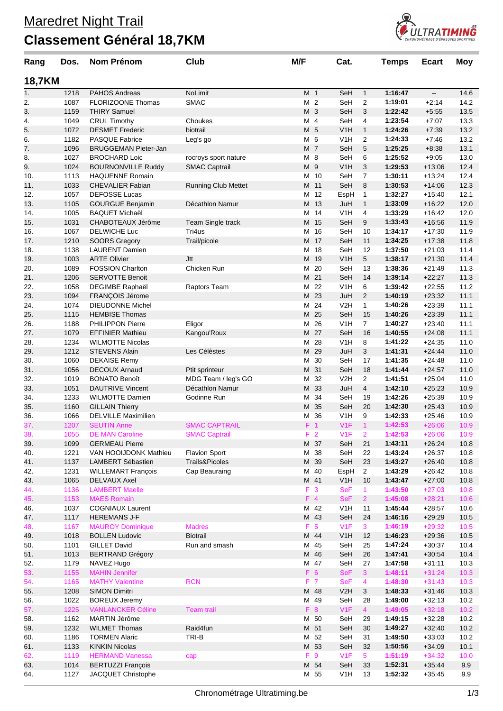## **Classement Général 18,7KM**



| Rang          | Dos. | Nom Prénom                  | Club                       | M/F            |                | Cat.             |                | <b>Temps</b> | <b>Ecart</b> | <b>Moy</b> |
|---------------|------|-----------------------------|----------------------------|----------------|----------------|------------------|----------------|--------------|--------------|------------|
| <b>18,7KM</b> |      |                             |                            |                |                |                  |                |              |              |            |
| 1.            | 1218 | <b>PAHOS Andreas</b>        | NoLimit                    | M <sub>1</sub> |                | SeH              | $\mathbf{1}$   | 1:16:47      | --           | 14.6       |
| 2.            | 1087 | FLORIZOONE Thomas           | <b>SMAC</b>                | M 2            |                | SeH              | 2              | 1:19:01      | $+2:14$      | 14.2       |
| 3.            | 1159 | <b>THIRY Samuel</b>         |                            | M 3            |                | SeH              | 3              | 1:22:42      | $+5:55$      | 13.5       |
| 4.            | 1049 | <b>CRUL Timothy</b>         | Choukes                    | M 4            |                | SeH              | 4              | 1:23:54      | $+7:07$      | 13.3       |
| 5.            | 1072 | <b>DESMET Frederic</b>      | biotrail                   | M 5            |                | V <sub>1</sub> H | $\mathbf{1}$   | 1:24:26      | $+7:39$      | 13.2       |
| 6.            | 1182 | <b>PASQUE Fabrice</b>       | Leg's go                   | M 6            |                | V1H              | 2              | 1:24:33      | $+7:46$      | 13.2       |
| 7.            | 1096 | <b>BRUGGEMAN Pieter-Jan</b> |                            | M 7            |                | SeH              | 5              | 1:25:25      | $+8:38$      | 13.1       |
| 8.            | 1027 | <b>BROCHARD Loic</b>        | rocroys sport nature       | M 8            |                | SeH              | 6              | 1:25:52      | $+9:05$      | 13.0       |
| 9.            | 1024 | <b>BOURNONVILLE Ruddy</b>   | <b>SMAC Captrail</b>       | M 9            |                | V <sub>1</sub> H | 3              | 1:29:53      | $+13:06$     | 12.4       |
| 10.           | 1113 | <b>HAQUENNE Romain</b>      |                            |                | M 10           | SeH              | $\overline{7}$ | 1:30:11      | $+13:24$     | 12.4       |
| 11.           | 1033 | <b>CHEVALIER Fabian</b>     | <b>Running Club Mettet</b> |                | M 11           | SeH              | 8              | 1:30:53      | $+14.06$     | 12.3       |
| 12.           | 1057 | <b>DEFOSSE Lucas</b>        |                            |                | M 12           | EspH             | $\mathbf{1}$   | 1:32:27      | $+15:40$     | 12.1       |
| 13.           | 1105 | <b>GOURGUE Benjamin</b>     | Décathlon Namur            |                | M 13           | JuH              | $\mathbf{1}$   | 1:33:09      | $+16:22$     | 12.0       |
| 14.           | 1005 | <b>BAQUET Michaël</b>       |                            |                | M 14           | V <sub>1</sub> H | 4              | 1:33:29      | $+16:42$     | 12.0       |
| 15.           | 1031 | CHABOTEAUX Jérôme           | Team Single track          |                | M 15           | SeH              | 9              | 1:33:43      | $+16:56$     | 11.9       |
| 16.           | 1067 | DELWICHE Luc                | Tri4us                     |                | M 16           | SeH              | 10             | 1:34:17      | $+17:30$     | 11.9       |
| 17.           | 1210 | <b>SOORS Gregory</b>        | Trail/picole               |                | M 17           | SeH              | 11             | 1:34:25      | $+17:38$     | 11.8       |
| 18.           | 1138 | <b>LAURENT Damien</b>       |                            |                | M 18           | SeH              | 12             | 1:37:50      | $+21:03$     | 11.4       |
| 19.           | 1003 | <b>ARTE Olivier</b>         | Jtt                        |                | M 19           | V1H              | 5              | 1:38:17      | $+21:30$     | 11.4       |
| 20.           | 1089 | <b>FOSSION Charlton</b>     | Chicken Run                |                | M 20           | SeH              | 13             | 1:38:36      | $+21:49$     | 11.3       |
| 21.           | 1206 | <b>SERVOTTE Benoit</b>      |                            |                | M 21           | SeH              | 14             | 1:39:14      | $+22:27$     | 11.3       |
| 22.           | 1058 | DEGIMBE Raphaël             | Raptors Team               | м              | 22             | V1H              | 6              | 1:39:42      | $+22:55$     | 11.2       |
| 23.           | 1094 | FRANÇOIS Jérome             |                            |                | M 23           | JuH              | 2              | 1:40:19      | $+23:32$     | 11.1       |
| 24.           | 1074 | <b>DIEUDONNE Michel</b>     |                            |                | M 24           | V2H              | $\mathbf{1}$   | 1:40:26      | $+23:39$     | 11.1       |
| 25.           | 1115 | <b>HEMBISE Thomas</b>       |                            |                | M 25           | SeH              | 15             | 1:40:26      | $+23:39$     | 11.1       |
| 26.           | 1188 | PHILIPPON Pierre            | Eligor                     | M              | 26             | V1H              | $\overline{7}$ | 1:40:27      | $+23:40$     | 11.1       |
| 27.           | 1079 | <b>EFFINIER Mathieu</b>     | Kangou'Roux                |                | M 27           | SeH              | 16             | 1:40:55      | $+24:08$     | 11.1       |
| 28.           | 1234 | <b>WILMOTTE Nicolas</b>     |                            | м              | 28             | V <sub>1</sub> H | 8              | 1:41:22      | $+24:35$     | 11.0       |
| 29.           | 1212 | STEVENS Alain               | Les Célèstes               |                | M 29           | JuH              | 3              | 1:41:31      | $+24:44$     | 11.0       |
| 30.           | 1060 | <b>DEKAISE Remy</b>         |                            |                | M 30           | SeH              | 17             | 1:41:35      | $+24:48$     | 11.0       |
| 31.           | 1056 | <b>DECOUX Arnaud</b>        | Ptit sprinteur             |                | M 31           | SeH              | 18             | 1:41:44      | $+24:57$     | 11.0       |
| 32.           | 1019 | <b>BONATO Benoît</b>        | MDG Team / leg's GO        |                | M 32           | V <sub>2</sub> H | $\overline{2}$ | 1:41:51      | $+25:04$     | 11.0       |
| 33.           | 1051 | <b>DAUTRIVE Vincent</b>     | Décathlon Namur            | М              | 33             | JuH              | $\overline{4}$ | 1:42:10      | $+25:23$     | 10.9       |
| 34.           | 1233 | <b>WILMOTTE Damien</b>      | Godinne Run                |                | M 34           | SeH              | 19             | 1:42:26      | $+25:39$     | 10.9       |
| 35.           | 1160 | <b>GILLAIN Thierry</b>      |                            |                | M 35           | SeH              | 20             | 1:42:30      | $+25:43$     | 10.9       |
| 36.           | 1066 | <b>DELVILLE Maximilien</b>  |                            |                | M 36           | V <sub>1</sub> H | 9              | 1:42:33      | $+25:46$     | 10.9       |
| 37.           | 1207 | <b>SEUTIN Anne</b>          | <b>SMAC CAPTRAIL</b>       | F <sub>1</sub> |                | V1F              | $\mathbf{1}$   | 1:42:53      | $+26:06$     | 10.9       |
| 38.           | 1055 | <b>DE MAN Caroline</b>      | <b>SMAC Captrail</b>       |                | F <sub>2</sub> | V1F              | $\overline{2}$ | 1:42:53      | $+26:06$     | 10.9       |
| 39.           | 1099 | <b>GERMEAU Pierre</b>       |                            |                | M 37           | SeH              | 21             | 1:43:11      | $+26:24$     | 10.8       |
| 40.           | 1221 | VAN HOOIJDONK Mathieu       | <b>Flavion Sport</b>       |                | M 38           | SeH              | 22             | 1:43:24      | $+26:37$     | 10.8       |
| 41.           | 1137 | LAMBERT Sébastien           | Trails&Picoles             |                | M 39           | SeH              | 23             | 1:43:27      | $+26:40$     | 10.8       |
| 42.           | 1231 | <b>WILLEMART François</b>   | Cap Beauraing              |                | M 40           | EspH             | $\overline{2}$ | 1:43:29      | $+26:42$     | 10.8       |
| 43.           | 1065 | <b>DELVAUX Axel</b>         |                            |                | M 41           | V <sub>1</sub> H | 10             | 1:43:47      | $+27:00$     | 10.8       |
| 44.           | 1136 | <b>LAMBERT Maelle</b>       |                            |                | F 3            | <b>SeF</b>       | $\mathbf{1}$   | 1:43:50      | $+27:03$     | 10.8       |
| 45.           | 1153 | <b>MAES Romain</b>          |                            |                | $F$ 4          | <b>SeF</b>       | $\overline{2}$ | 1:45:08      | $+28:21$     | 10.6       |
| 46.           | 1037 | <b>COGNIAUX Laurent</b>     |                            |                | M 42           | V <sub>1</sub> H | 11             | 1:45:44      | $+28:57$     | 10.6       |
| 47.           | 1117 | <b>HEREMANS J-F</b>         |                            |                | M 43           | SeH              | 24             | 1:46:16      | $+29:29$     | 10.5       |
| 48.           | 1167 | <b>MAUROY Dominique</b>     | <b>Madres</b>              |                | F 5            | V1F              | 3              | 1:46:19      | $+29:32$     | 10.5       |
| 49.           | 1018 | <b>BOLLEN Ludovic</b>       | <b>Biotrail</b>            |                | M 44           | V <sub>1</sub> H | 12             | 1:46:23      | $+29:36$     | 10.5       |
| 50.           | 1101 | <b>GILLET David</b>         | Run and smash              |                | M 45           | SeH              | 25             | 1:47:24      | $+30:37$     | 10.4       |
| 51.           | 1013 | <b>BERTRAND Grégory</b>     |                            |                | M 46           | SeH              | 26             | 1:47:41      | $+30:54$     | 10.4       |
| 52.           | 1179 | NAVEZ Hugo                  |                            |                | M 47           | SeH              | 27             | 1:47:58      | $+31:11$     | 10.3       |
| 53.           | 1155 | <b>MAHIN Jennifer</b>       |                            |                | F 6            | <b>SeF</b>       | 3              | 1:48:11      | $+31:24$     | 10.3       |
| 54.           | 1165 | <b>MATHY Valentine</b>      | <b>RCN</b>                 |                | F 7            | <b>SeF</b>       | $\overline{4}$ | 1:48:30      | $+31:43$     | 10.3       |
| 55.           | 1208 | <b>SIMON Dimitri</b>        |                            |                | M 48           | V2H              | 3              | 1:48:33      | $+31:46$     | 10.3       |
| 56.           | 1022 | <b>BOREUX Jeremy</b>        |                            |                | M 49           | SeH              | 28             | 1:49:00      | $+32:13$     | 10.2       |
| 57.           | 1225 | <b>VANLANCKER Céline</b>    | <b>Team trail</b>          |                | F 8            | V1F              | $\overline{4}$ | 1:49:05      | $+32:18$     | 10.2       |
| 58.           | 1162 | MARTIN Jérôme               |                            |                | M 50           | SeH              | 29             | 1:49:15      | $+32:28$     | 10.2       |
| 59.           | 1232 | <b>WILMET Thomas</b>        | Raid4fun                   |                | M 51           | SeH              | 30             | 1:49:27      | $+32:40$     | 10.2       |
| 60.           | 1186 | <b>TORMEN Alaric</b>        | TRI-B                      |                | M 52           | SeH              | 31             | 1:49:50      | $+33:03$     | 10.2       |
| 61.           | 1133 | <b>KINKIN Nicolas</b>       |                            |                | M 53           | SeH              | 32             | 1:50:56      | $+34:09$     | 10.1       |
| 62.           | 1119 | <b>HERMAND Vanessa</b>      | cap                        |                | F 9            | V1F              | 5 <sup>5</sup> | 1:51:19      | $+34:32$     | 10.0       |
| 63.           | 1014 | <b>BERTUZZI François</b>    |                            |                | M 54           | SeH              | 33             | 1:52:31      | $+35:44$     | 9.9        |
| 64.           | 1127 | JACQUET Christophe          |                            |                | M 55           | V <sub>1</sub> H | 13             | 1:52:32      | $+35:45$     | 9.9        |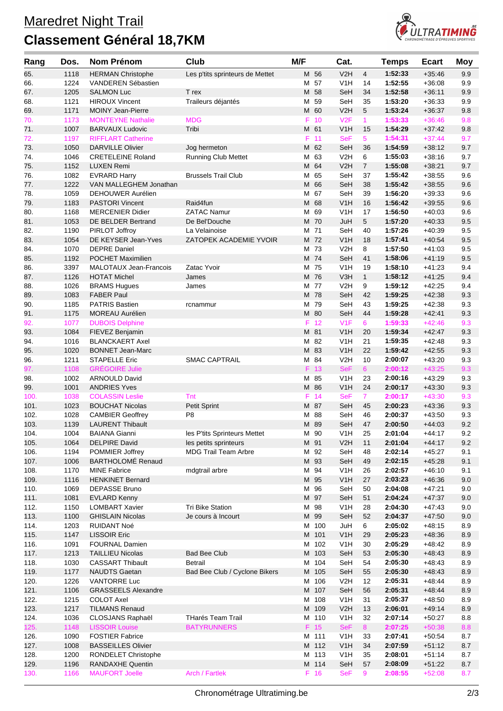## **Classement Général 18,7KM**



| Rang         | Dos.         | <b>Nom Prénom</b>                              | Club                            | M/F |              | Cat.                                 |                | <b>Temps</b>       | <b>Ecart</b>         | <b>Moy</b> |
|--------------|--------------|------------------------------------------------|---------------------------------|-----|--------------|--------------------------------------|----------------|--------------------|----------------------|------------|
| 65.          | 1118         | <b>HERMAN Christophe</b>                       | Les p'tits sprinteurs de Mettet |     | M 56         | V2H                                  | 4              | 1:52:33            | $+35:46$             | 9.9        |
| 66.          | 1224         | VANDEREN Sébastien                             |                                 |     | M 57         | V1H                                  | 14             | 1:52:55            | $+36:08$             | 9.9        |
| 67.          | 1205         | <b>SALMON Luc</b>                              | T rex                           |     | M 58         | SeH                                  | 34             | 1:52:58            | $+36.11$             | 9.9        |
| 68.          | 1121         | <b>HIROUX Vincent</b>                          | Traileurs déjantés              |     | M 59         | SeH                                  | 35             | 1:53:20            | $+36:33$             | 9.9        |
| 69.          | 1171         | <b>MOINY Jean-Pierre</b>                       |                                 |     | M 60         | V2H                                  | 5              | 1:53:24            | $+36:37$             | 9.8        |
| 70.          | 1173         | <b>MONTEYNE Nathalie</b>                       | <b>MDG</b>                      | F   | 10           | V2F                                  | 1              | 1:53:33            | $+36:46$             | 9.8        |
| 71.          | 1007         | <b>BARVAUX Ludovic</b>                         | Tribi                           |     | M 61         | V1H                                  | 15             | 1:54:29            | $+37:42$             | 9.8        |
| 72.          | 1197         | <b>RIFFLART Catherine</b>                      |                                 |     | $F$ 11       | <b>SeF</b>                           | 5              | 1:54:31            | $+37:44$             | 9.7        |
| 73.          | 1050         | <b>DARVILLE Olivier</b>                        | Jog hermeton                    |     | M 62         | SeH                                  | 36             | 1:54:59            | $+38:12$             | 9.7        |
| 74.          | 1046         | <b>CRETELEINE Roland</b>                       | <b>Running Club Mettet</b>      |     | M 63         | V2H                                  | 6              | 1:55:03            | $+38:16$             | 9.7        |
| 75.          | 1152         | <b>LUXEN Remi</b>                              |                                 |     | M 64         | V2H                                  | $\overline{7}$ | 1:55:08            | $+38:21$             | 9.7        |
| 76.          | 1082         | <b>EVRARD Harry</b>                            | <b>Brussels Trail Club</b>      | М   | 65           | SeH                                  | 37             | 1:55:42            | $+38:55$             | 9.6        |
| 77.          | 1222         | VAN MALLEGHEM Jonathan                         |                                 |     | M 66         | SeH                                  | 38             | 1:55:42            | $+38:55$             | 9.6        |
| 78.          | 1059         | DEHOUWER Aurélien                              |                                 |     | M 67         | SeH                                  | 39             | 1:56:20            | $+39:33$             | 9.6        |
| 79.          | 1183         | <b>PASTORI Vincent</b>                         | Raid4fun                        |     | M 68         | V <sub>1</sub> H                     | 16             | 1:56:42            | $+39:55$             | 9.6        |
| 80.          | 1168<br>1053 | <b>MERCENIER Didier</b>                        | <b>ZATAC Namur</b>              |     | M 69         | V1H<br>JuH                           | 17<br>5        | 1:56:50            | $+40:03$             | 9.6        |
| 81.<br>82.   | 1190         | DE BELDER Bertrand<br>PIRLOT Joffroy           | De Bel'Douche<br>La Velainoise  |     | M 70<br>M 71 | SeH                                  | 40             | 1:57:20<br>1:57:26 | $+40:33$<br>$+40:39$ | 9.5<br>9.5 |
| 83.          | 1054         | DE KEYSER Jean-Yves                            | ZATOPEK ACADEMIE YVOIR          |     | M 72         | V1H                                  | 18             | 1:57:41            | $+40:54$             | 9.5        |
| 84.          | 1070         | <b>DEPRE Daniel</b>                            |                                 |     | M 73         | V2H                                  | 8              | 1:57:50            | $+41:03$             | 9.5        |
| 85.          | 1192         | <b>POCHET Maximilien</b>                       |                                 |     | M 74         | SeH                                  | 41             | 1:58:06            | $+41:19$             | 9.5        |
| 86.          | 3397         | MALOTAUX Jean-Francois                         | Zatac Yvoir                     |     | M 75         | V1H                                  | 19             | 1:58:10            | $+41:23$             | 9.4        |
| 87.          | 1126         | <b>HOTAT Michel</b>                            | James                           |     | M 76         | V3H                                  | $\mathbf{1}$   | 1:58:12            | $+41:25$             | 9.4        |
| 88.          | 1026         | <b>BRAMS Hugues</b>                            | James                           |     | M 77         | V2H                                  | 9              | 1:59:12            | $+42:25$             | 9.4        |
| 89.          | 1083         | <b>FABER Paul</b>                              |                                 |     | M 78         | SeH                                  | 42             | 1:59:25            | $+42:38$             | 9.3        |
| 90.          | 1185         | <b>PATRIS Bastien</b>                          | rcnammur                        |     | M 79         | SeH                                  | 43             | 1:59:25            | $+42:38$             | 9.3        |
| 91.          | 1175         | <b>MOREAU Aurélien</b>                         |                                 |     | M 80         | SeH                                  | 44             | 1:59:28            | $+42:41$             | 9.3        |
| 92.          | 1077         | <b>DUBOIS Delphine</b>                         |                                 | F   | 12           | V1F                                  | 6              | 1:59:33            | $+42:46$             | 9.3        |
| 93.          | 1084         | FIEVEZ Benjamin                                |                                 |     | M 81         | V1H                                  | 20             | 1:59:34            | $+42:47$             | 9.3        |
| 94.          | 1016         | <b>BLANCKAERT Axel</b>                         |                                 |     | M 82         | V1H                                  | 21             | 1:59:35            | $+42:48$             | 9.3        |
| 95.          | 1020         | <b>BONNET Jean-Marc</b>                        |                                 |     | M 83         | V1H                                  | 22             | 1:59:42            | $+42:55$             | 9.3        |
| 96.          | 1211         | <b>STAPELLE Eric</b>                           | <b>SMAC CAPTRAIL</b>            |     | M 84         | V2H                                  | 10             | 2:00:07            | $+43:20$             | 9.3        |
| 97.          | 1108         | <b>GRÉGOIRE Julie</b>                          |                                 |     | F 13         | <b>SeF</b>                           | 6 <sup>°</sup> | 2:00:12            | $+43:25$             | 9.3        |
| 98.          | 1002         | <b>ARNOULD David</b>                           |                                 |     | M 85         | V1H                                  | 23             | 2:00:16            | $+43.29$             | 9.3        |
| 99.          | 1001         | <b>ANDRIES Yves</b>                            |                                 |     | M 86         | V1H                                  | 24             | 2:00:17            | $+43:30$             | 9.3        |
| 100.         | 1038         | <b>COLASSIN Leslie</b>                         | Tnt                             |     | F 14         | <b>SeF</b>                           | $\mathbf{7}$   | 2:00:17            | $+43:30$             | 9.3        |
| 101.         | 1023         | <b>BOUCHAT Nicolas</b>                         | Petit Sprint                    |     | M 87         | SeH                                  | 45             | 2:00:23            | $+43:36$             | 9.3        |
| 102.         | 1028         | <b>CAMBIER Geoffrey</b>                        | P <sub>8</sub>                  |     | M 88         | SeH                                  | 46             | 2:00:37            | $+43:50$             | 9.3        |
| 103.         | 1139         | <b>LAURENT Thibault</b>                        |                                 |     | M 89         | SeH                                  | 47             | 2:00:50            | $+44:03$             | 9.2        |
| 104.         | 1004         | <b>BAIANA Gianni</b>                           | les P'tits Sprinteurs Mettet    |     | M 90         | V <sub>1</sub> H                     | 25             | 2:01:04            | $+44:17$             | 9.2        |
| 105.         | 1064         | <b>DELPIRE David</b>                           | les petits sprinteurs           |     | M 91         | V <sub>2</sub> H                     | 11             | 2:01:04            | +44:17               | 9.2        |
| 106.         | 1194         | POMMIER Joffrey                                | <b>MDG Trail Team Arbre</b>     |     | M 92         | SeH                                  | 48             | 2:02:14            | $+45:27$             | 9.1        |
| 107.         | 1006         | <b>BARTHOLOMÉ Renaud</b>                       |                                 |     | M 93         | SeH                                  | 49             | 2:02:15            | $+45:28$             | 9.1        |
| 108.         | 1170<br>1116 | <b>MINE Fabrice</b><br><b>HENKINET Bernard</b> | mdgtrail arbre                  |     | M 94<br>M 95 | V <sub>1</sub> H<br>V <sub>1</sub> H | 26<br>27       | 2:02:57<br>2:03:23 | $+46:10$<br>$+46.36$ | 9.1        |
| 109.<br>110. | 1069         | <b>DEPASSE Bruno</b>                           |                                 |     | M 96         | SeH                                  | 50             | 2:04:08            | $+47:21$             | 9.0<br>9.0 |
| 111.         | 1081         | <b>EVLARD Kenny</b>                            |                                 |     | M 97         | SeH                                  | 51             | 2:04:24            | $+47:37$             | 9.0        |
| 112.         | 1150         | <b>LOMBART Xavier</b>                          | <b>Tri Bike Station</b>         |     | M 98         | V <sub>1</sub> H                     | 28             | 2:04:30            | +47:43               | 9.0        |
| 113.         | 1100         | <b>GHISLAIN Nicolas</b>                        | Je cours à Incourt              |     | M 99         | SeH                                  | 52             | 2:04:37            | $+47:50$             | 9.0        |
| 114.         | 1203         | <b>RUIDANT Noé</b>                             |                                 |     | M 100        | JuH                                  | 6              | 2:05:02            | $+48:15$             | 8.9        |
| 115.         | 1147         | <b>LISSOIR Eric</b>                            |                                 |     | M 101        | V <sub>1</sub> H                     | 29             | 2:05:23            | $+48:36$             | 8.9        |
| 116.         | 1091         | <b>FOURNAL Damien</b>                          |                                 |     | M 102        | V <sub>1</sub> H                     | 30             | 2:05:29            | $+48:42$             | 8.9        |
| 117.         | 1213         | <b>TAILLIEU Nicolas</b>                        | <b>Bad Bee Club</b>             |     | M 103        | SeH                                  | 53             | 2:05:30            | $+48:43$             | 8.9        |
| 118.         | 1030         | <b>CASSART Thibault</b>                        | <b>Betrail</b>                  |     | M 104        | SeH                                  | 54             | 2:05:30            | $+48:43$             | 8.9        |
| 119.         | 1177         | <b>NAUDTS Gaetan</b>                           | Bad Bee Club / Cyclone Bikers   |     | M 105        | SeH                                  | 55             | 2:05:30            | $+48:43$             | 8.9        |
| 120.         | 1226         | <b>VANTORRE Luc</b>                            |                                 |     | M 106        | V2H                                  | 12             | 2:05:31            | $+48:44$             | 8.9        |
| 121.         | 1106         | <b>GRASSEELS Alexandre</b>                     |                                 |     | M 107        | SeH                                  | 56             | 2:05:31            | $+48:44$             | 8.9        |
| 122.         | 1215         | <b>COLOT Axel</b>                              |                                 |     | M 108        | V1H                                  | 31             | 2:05:37            | $+48:50$             | 8.9        |
| 123.         | 1217         | <b>TILMANS Renaud</b>                          |                                 |     | M 109        | V <sub>2</sub> H                     | 13             | 2:06:01            | $+49:14$             | 8.9        |
| 124.         | 1036         | CLOSJANS Raphaël                               | THarés Team Trail               |     | M 110        | V <sub>1</sub> H                     | 32             | 2:07:14            | $+50:27$             | 8.8        |
| 125.         | 1148         | <b>LISSOIR Louise</b>                          | <b>BATYRUNNERS</b>              |     | $F$ 15       | <b>SeF</b>                           | 8              | 2:07:25            | $+50:38$             | 8.8        |
| 126.         | 1090         | <b>FOSTIER Fabrice</b>                         |                                 |     | M 111        | V <sub>1</sub> H                     | 33             | 2:07:41            | $+50:54$             | 8.7        |
| 127.         | 1008         | <b>BASSEILLES Olivier</b>                      |                                 |     | M 112        | V1H                                  | 34             | 2:07:59            | $+51:12$             | 8.7        |
| 128.         | 1200         | RONDELET Christophe                            |                                 |     | M 113        | V <sub>1</sub> H                     | 35             | 2:08:01            | $+51:14$             | 8.7        |
| 129.         | 1196         | <b>RANDAXHE Quentin</b>                        |                                 |     | M 114        | SeH                                  | 57             | 2:08:09            | $+51:22$             | 8.7        |
| 130.         | 1166         | <b>MAUFORT Joelle</b>                          | Arch / Fartlek                  |     | F 16         | <b>SeF</b>                           | 9              | 2:08:55            | $+52:08$             | 8.7        |